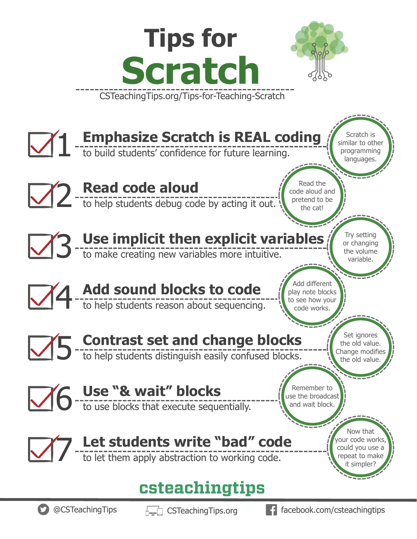